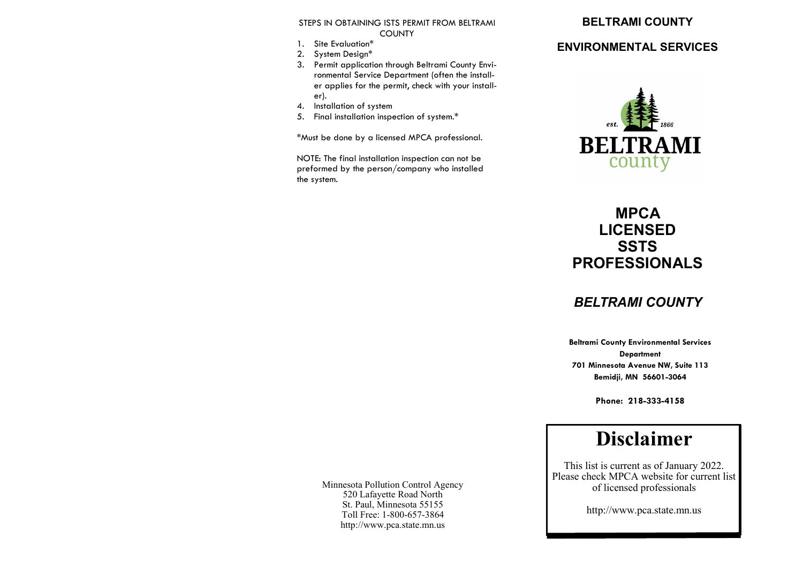#### STEPS IN OBTAINING ISTS PERMIT FROM BELTRAMI **COUNTY**

- 1. Site Evaluation\*
- 2. System Design\*
- 3. Permit application through Beltrami County Environmental Service Department (often the installer applies for the permit, check with your installer).
- 4. Installation of system
- 5. Final installation inspection of system.\*

\*Must be done by a licensed MPCA professional.

NOTE: The final installation inspection can not be preformed by the person/company who installed the system.

### **BELTRAMI COUNTY**

## **ENVIRONMENTAL SERVICES**



## **MPCA LICENSED SSTS PROFESSIONALS**

## *BELTRAMI COUNTY*

**Beltrami County Environmental Services Department 701 Minnesota Avenue NW, Suite 113 Bemidji, MN 56601-3064**

**Phone: 218-333-4158**

# **Disclaimer**

This list is current as of January 2022. Please check MPCA website for current list of licensed professionals

http://www.pca.state.mn.us

Minnesota Pollution Control Agency 520 Lafayette Road North St. Paul, Minnesota 55155 Toll Free: 1-800-657-3864 http://www.pca.state.mn.us